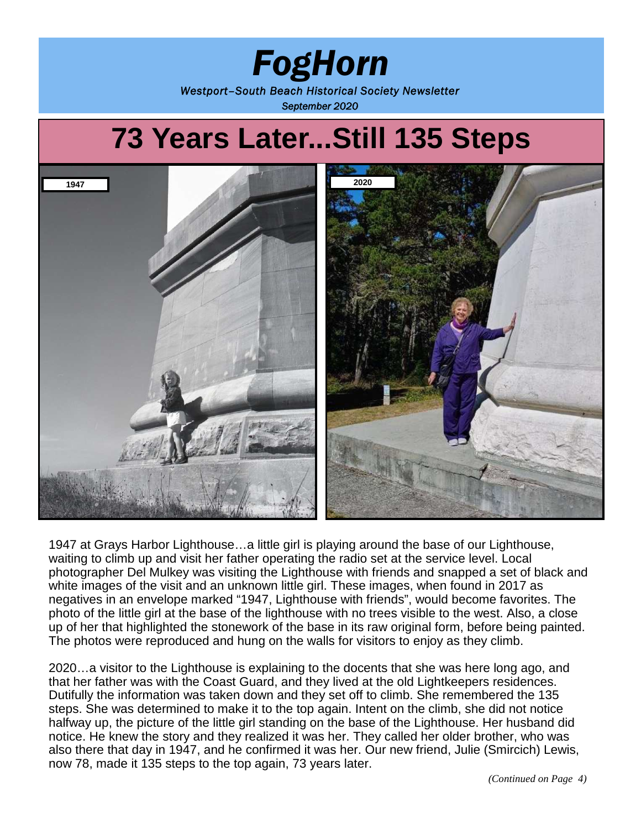# *FogHorn Westport–South Beach Historical Society Newsletter September 2020*

# **73 Years Later...Still 135 Steps 1947 2020**

1947 at Grays Harbor Lighthouse…a little girl is playing around the base of our Lighthouse, waiting to climb up and visit her father operating the radio set at the service level. Local photographer Del Mulkey was visiting the Lighthouse with friends and snapped a set of black and white images of the visit and an unknown little girl. These images, when found in 2017 as negatives in an envelope marked "1947, Lighthouse with friends", would become favorites. The photo of the little girl at the base of the lighthouse with no trees visible to the west. Also, a close up of her that highlighted the stonework of the base in its raw original form, before being painted. The photos were reproduced and hung on the walls for visitors to enjoy as they climb.

2020…a visitor to the Lighthouse is explaining to the docents that she was here long ago, and that her father was with the Coast Guard, and they lived at the old Lightkeepers residences. Dutifully the information was taken down and they set off to climb. She remembered the 135 steps. She was determined to make it to the top again. Intent on the climb, she did not notice halfway up, the picture of the little girl standing on the base of the Lighthouse. Her husband did notice. He knew the story and they realized it was her. They called her older brother, who was also there that day in 1947, and he confirmed it was her. Our new friend, Julie (Smircich) Lewis, now 78, made it 135 steps to the top again, 73 years later.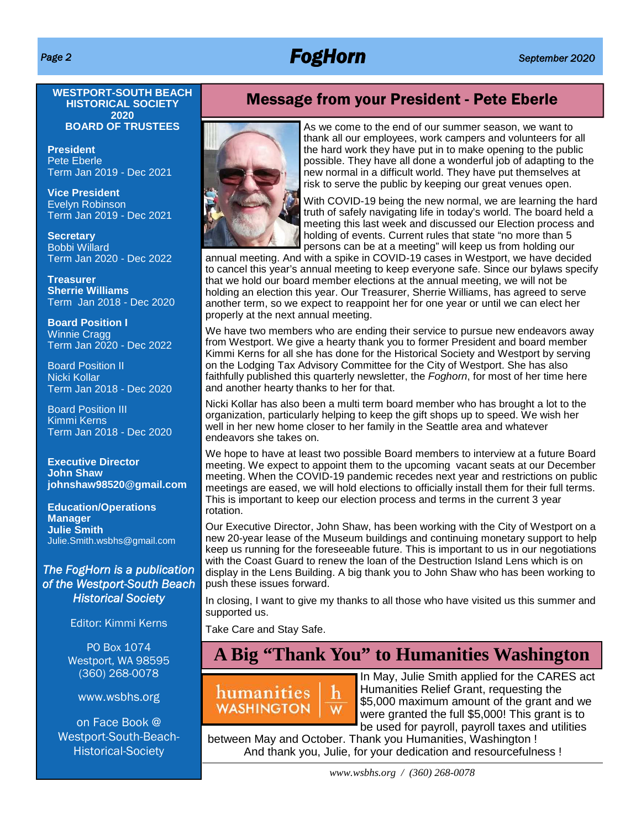# *Page 2 FogHorn September 2020*

**WESTPORT-SOUTH BEACH HISTORICAL SOCIETY 2020 BOARD OF TRUSTEES**

**President** Pete Eberle Term Jan 2019 - Dec 2021

**Vice President** Evelyn Robinson Term Jan 2019 - Dec 2021

**Secretary** Bobbi Willard Term Jan 2020 - Dec 2022

**Treasurer Sherrie Williams** Term Jan 2018 - Dec 2020

**Board Position I** Winnie Cragg Term Jan 2020 - Dec 2022

Board Position II Nicki Kollar Term Jan 2018 - Dec 2020

Board Position III Kimmi Kerns Term Jan 2018 - Dec 2020

**Executive Director John Shaw johnshaw98520@gmail.com**

**Education/Operations Manager Julie Smith** Julie.Smith.wsbhs@gmail.com

### *The FogHorn is a publication of the Westport-South Beach Historical Society*

Editor: Kimmi Kerns

PO Box 1074 Westport, WA 98595 (360) 268-0078

www.wsbhs.org

on Face Book @ Westport-South-Beach-Historical-Society

### Message from your President - Pete Eberle



As we come to the end of our summer season, we want to thank all our employees, work campers and volunteers for all the hard work they have put in to make opening to the public possible. They have all done a wonderful job of adapting to the new normal in a difficult world. They have put themselves at risk to serve the public by keeping our great venues open.

With COVID-19 being the new normal, we are learning the hard truth of safely navigating life in today's world. The board held a meeting this last week and discussed our Election process and holding of events. Current rules that state "no more than 5 persons can be at a meeting" will keep us from holding our

annual meeting. And with a spike in COVID-19 cases in Westport, we have decided to cancel this year's annual meeting to keep everyone safe. Since our bylaws specify that we hold our board member elections at the annual meeting, we will not be holding an election this year. Our Treasurer, Sherrie Williams, has agreed to serve another term, so we expect to reappoint her for one year or until we can elect her properly at the next annual meeting.

We have two members who are ending their service to pursue new endeavors away from Westport. We give a hearty thank you to former President and board member Kimmi Kerns for all she has done for the Historical Society and Westport by serving on the Lodging Tax Advisory Committee for the City of Westport. She has also faithfully published this quarterly newsletter, the *Foghorn*, for most of her time here and another hearty thanks to her for that.

Nicki Kollar has also been a multi term board member who has brought a lot to the organization, particularly helping to keep the gift shops up to speed. We wish her well in her new home closer to her family in the Seattle area and whatever endeavors she takes on.

We hope to have at least two possible Board members to interview at a future Board meeting. We expect to appoint them to the upcoming vacant seats at our December meeting. When the COVID-19 pandemic recedes next year and restrictions on public meetings are eased, we will hold elections to officially install them for their full terms. This is important to keep our election process and terms in the current 3 year rotation.

Our Executive Director, John Shaw, has been working with the City of Westport on a new 20-year lease of the Museum buildings and continuing monetary support to help keep us running for the foreseeable future. This is important to us in our negotiations with the Coast Guard to renew the loan of the Destruction Island Lens which is on display in the Lens Building. A big thank you to John Shaw who has been working to push these issues forward.

In closing, I want to give my thanks to all those who have visited us this summer and supported us.

Take Care and Stay Safe.

# **A Big "Thank You" to Humanities Washington**



In May, Julie Smith applied for the CARES act Humanities Relief Grant, requesting the \$5,000 maximum amount of the grant and we were granted the full \$5,000! This grant is to be used for payroll, payroll taxes and utilities

between May and October. Thank you Humanities, Washington ! And thank you, Julie, for your dedication and resourcefulness !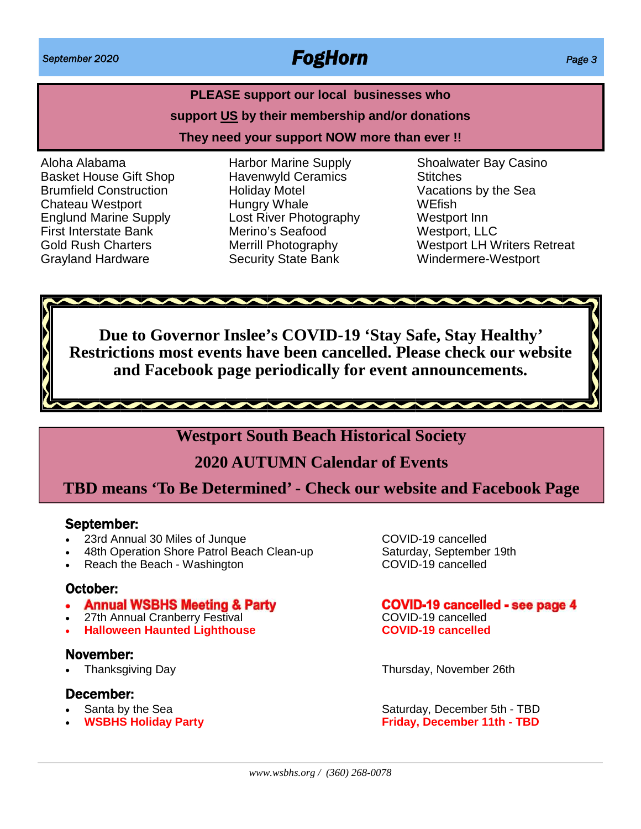# **PLEASE support our local businesses who support US by their membership and/or donations They need your support NOW more than ever !!**

Aloha Alabama Basket House Gift Shop Brumfield Construction Chateau Westport Englund Marine Supply First Interstate Bank Gold Rush Charters Grayland Hardware

Harbor Marine Supply Havenwyld Ceramics Holiday Motel Hungry Whale Lost River Photography Merino's Seafood Merrill Photography Security State Bank

Shoalwater Bay Casino **Stitches** Vacations by the Sea **WEfish** Westport Inn Westport, LLC Westport LH Writers Retreat Windermere-Westport

**Due to Governor Inslee's COVID-19 'Stay Safe, Stay Healthy' Restrictions most events have been cancelled. Please check our website and Facebook page periodically for event announcements.**

11111111111111111111111111111

### **Westport South Beach Historical Society**

## **2020 AUTUMN Calendar of Events**

### **TBD means 'To Be Determined' - Check our website and Facebook Page**

### September:

- 23rd Annual 30 Miles of Junque COVID-19 cancelled
- 
- $\cdot$  Reach the Beach Washington

### October:

- Annual WSBHS Meeting & Party
- 27th Annual Cranberry Festival COVID-19 cancelled
- **Halloween Haunted Lighthouse COVID-19 cancelled**

### November:

### December:

- 
- 

48th Operation Shore Patrol Beach Clean-up Saturday, September 19th<br>Reach the Beach - Washington COVID-19 cancelled

### **COVID-19 cancelled - see page 4**

Thanksgiving Day Thursday, November 26th

Santa by the Sea Saturday, December 5th - TBD<br> **WSBHS Holiday Party** Saturday, December 11th - TBD<br>
Saturday, December 11th - TBD **WSBHS Holiday Party Friday, December 11th - TBD**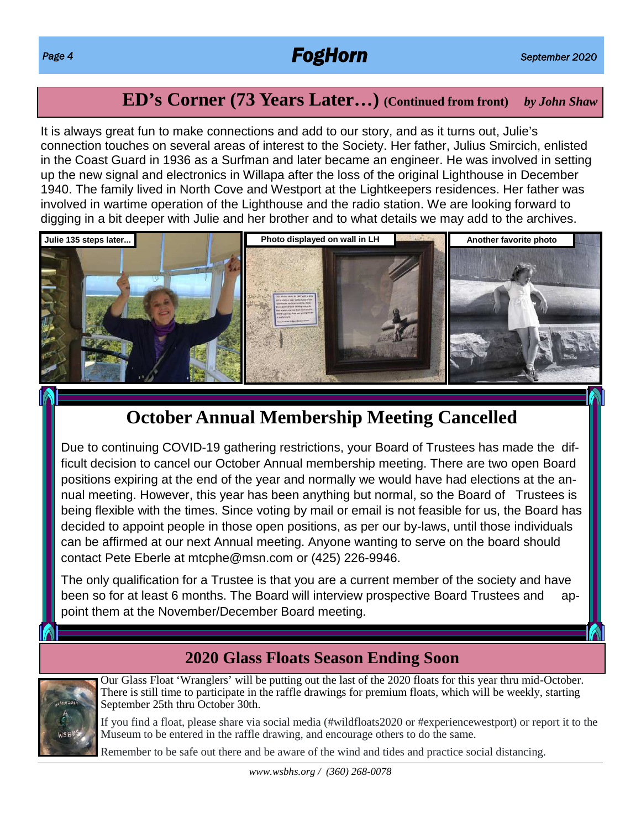# *Page 4 FogHorn September 2020*

# **ED's Corner (73 Years Later…) (Continued from front)** *by John Shaw*

It is always great fun to make connections and add to our story, and as it turns out, Julie's connection touches on several areas of interest to the Society. Her father, Julius Smircich, enlisted in the Coast Guard in 1936 as a Surfman and later became an engineer. He was involved in setting up the new signal and electronics in Willapa after the loss of the original Lighthouse in December 1940. The family lived in North Cove and Westport at the Lightkeepers residences. Her father was involved in wartime operation of the Lighthouse and the radio station. We are looking forward to digging in a bit deeper with Julie and her brother and to what details we may add to the archives.



# **October Annual Membership Meeting Cancelled**

Due to continuing COVID-19 gathering restrictions, your Board of Trustees has made the difficult decision to cancel our October Annual membership meeting. There are two open Board positions expiring at the end of the year and normally we would have had elections at the annual meeting. However, this year has been anything but normal, so the Board of Trustees is being flexible with the times. Since voting by mail or email is not feasible for us, the Board has decided to appoint people in those open positions, as per our by-laws, until those individuals can be affirmed at our next Annual meeting. Anyone wanting to serve on the board should contact Pete Eberle at mtcphe@msn.com or (425) 226-9946.

The only qualification for a Trustee is that you are a current member of the society and have been so for at least 6 months. The Board will interview prospective Board Trustees and appoint them at the November/December Board meeting.

### **2020 Glass Floats Season Ending Soon**



Our Glass Float 'Wranglers' will be putting out the last of the 2020 floats for this year thru mid-October. There is still time to participate in the raffle drawings for premium floats, which will be weekly, starting September 25th thru October 30th.

If you find a float, please share via social media (#wildfloats2020 or #experiencewestport) or report it to the Museum to be entered in the raffle drawing, and encourage others to do the same.

Remember to be safe out there and be aware of the wind and tides and practice social distancing.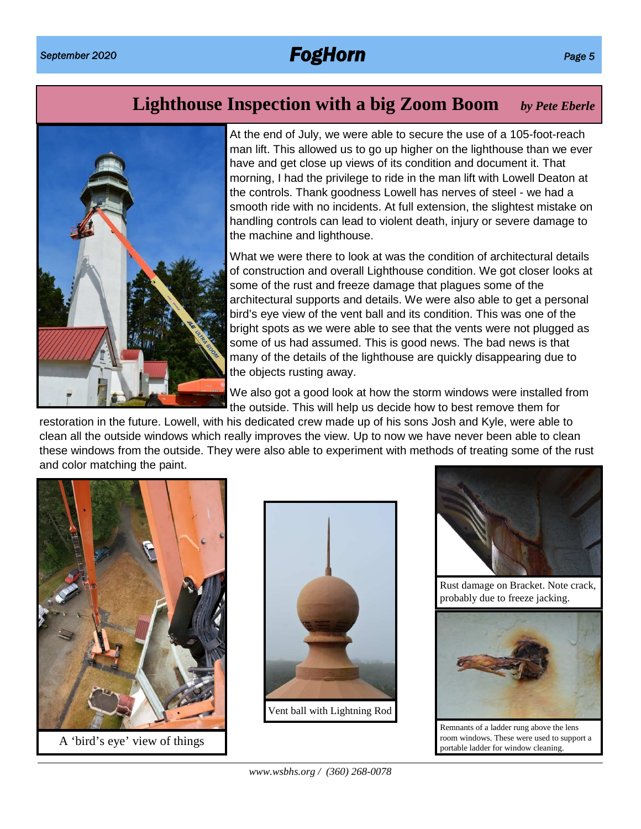# **Lighthouse Inspection with a big Zoom Boom** *by Pete Eberle*



At the end of July, we were able to secure the use of a 105-foot-reach man lift. This allowed us to go up higher on the lighthouse than we ever have and get close up views of its condition and document it. That morning, I had the privilege to ride in the man lift with Lowell Deaton at the controls. Thank goodness Lowell has nerves of steel - we had a smooth ride with no incidents. At full extension, the slightest mistake on handling controls can lead to violent death, injury or severe damage to the machine and lighthouse.

What we were there to look at was the condition of architectural details of construction and overall Lighthouse condition. We got closer looks at some of the rust and freeze damage that plagues some of the architectural supports and details. We were also able to get a personal bird's eye view of the vent ball and its condition. This was one of the bright spots as we were able to see that the vents were not plugged as some of us had assumed. This is good news. The bad news is that many of the details of the lighthouse are quickly disappearing due to the objects rusting away.

We also got a good look at how the storm windows were installed from the outside. This will help us decide how to best remove them for

restoration in the future. Lowell, with his dedicated crew made up of his sons Josh and Kyle, were able to clean all the outside windows which really improves the view. Up to now we have never been able to clean these windows from the outside. They were also able to experiment with methods of treating some of the rust and color matching the paint.



A 'bird's eye' view of things





Rust damage on Bracket. Note crack, probably due to freeze jacking.



Remnants of a ladder rung above the lens room windows. These were used to support a portable ladder for window cleaning.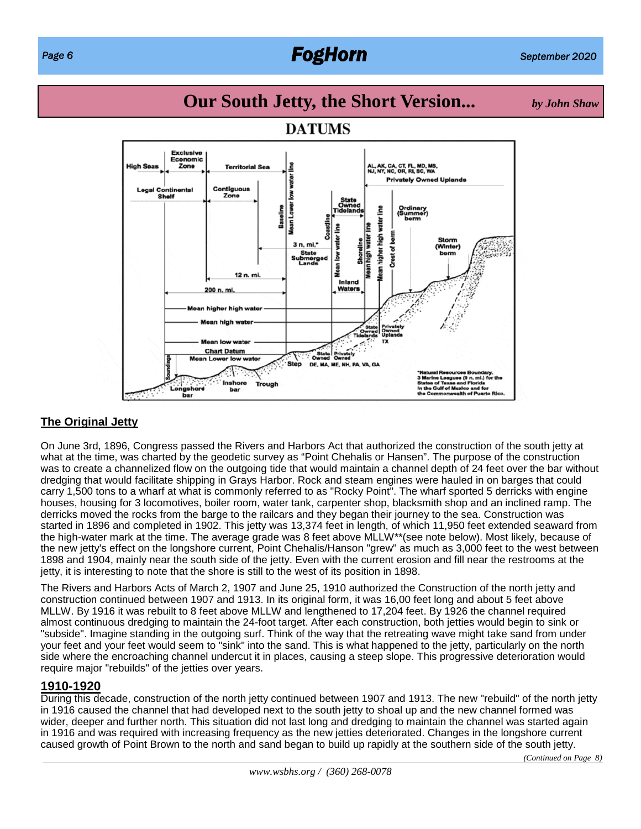# *Page 6 FogHorn September 2020*

# **Our South Jetty, the Short Version...** *by John Shaw*



### **DATUMS**

### **The Original Jetty**

On June 3rd, 1896, Congress passed the Rivers and Harbors Act that authorized the construction of the south jetty at what at the time, was charted by the geodetic survey as "Point Chehalis or Hansen". The purpose of the construction was to create a channelized flow on the outgoing tide that would maintain a channel depth of 24 feet over the bar without dredging that would facilitate shipping in Grays Harbor. Rock and steam engines were hauled in on barges that could carry 1,500 tons to a wharf at what is commonly referred to as "Rocky Point". The wharf sported 5 derricks with engine houses, housing for 3 locomotives, boiler room, water tank, carpenter shop, blacksmith shop and an inclined ramp. The derricks moved the rocks from the barge to the railcars and they began their journey to the sea. Construction was started in 1896 and completed in 1902. This jetty was 13,374 feet in length, of which 11,950 feet extended seaward from the high-water mark at the time. The average grade was 8 feet above MLLW\*\*(see note below). Most likely, because of the new jetty's effect on the longshore current, Point Chehalis/Hanson "grew" as much as 3,000 feet to the west between 1898 and 1904, mainly near the south side of the jetty. Even with the current erosion and fill near the restrooms at the jetty, it is interesting to note that the shore is still to the west of its position in 1898.

The Rivers and Harbors Acts of March 2, 1907 and June 25, 1910 authorized the Construction of the north jetty and construction continued between 1907 and 1913. In its original form, it was 16,00 feet long and about 5 feet above MLLW. By 1916 it was rebuilt to 8 feet above MLLW and lengthened to 17,204 feet. By 1926 the channel required almost continuous dredging to maintain the 24-foot target. After each construction, both jetties would begin to sink or "subside". Imagine standing in the outgoing surf. Think of the way that the retreating wave might take sand from under your feet and your feet would seem to "sink" into the sand. This is what happened to the jetty, particularly on the north side where the encroaching channel undercut it in places, causing a steep slope. This progressive deterioration would require major "rebuilds" of the jetties over years.

### **1910-1920**

During this decade, construction of the north jetty continued between 1907 and 1913. The new "rebuild" of the north jetty in 1916 caused the channel that had developed next to the south jetty to shoal up and the new channel formed was wider, deeper and further north. This situation did not last long and dredging to maintain the channel was started again in 1916 and was required with increasing frequency as the new jetties deteriorated. Changes in the longshore current caused growth of Point Brown to the north and sand began to build up rapidly at the southern side of the south jetty.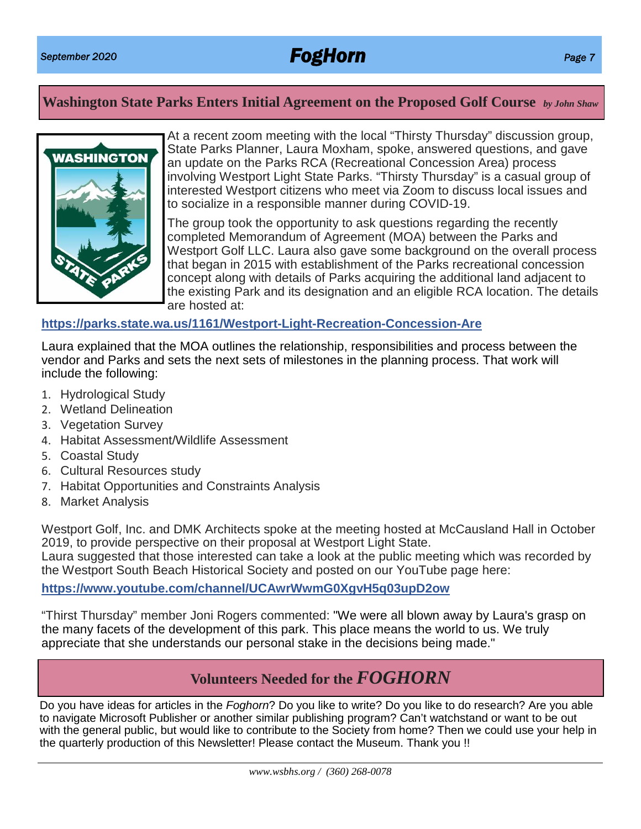### **Washington State Parks Enters Initial Agreement on the Proposed Golf Course** *by John Shaw*



At a recent zoom meeting with the local "Thirsty Thursday" discussion group, State Parks Planner, Laura Moxham, spoke, answered questions, and gave an update on the Parks RCA (Recreational Concession Area) process involving Westport Light State Parks. "Thirsty Thursday" is a casual group of interested Westport citizens who meet via Zoom to discuss local issues and to socialize in a responsible manner during COVID-19.

The group took the opportunity to ask questions regarding the recently completed Memorandum of Agreement (MOA) between the Parks and Westport Golf LLC. Laura also gave some background on the overall process that began in 2015 with establishment of the Parks recreational concession concept along with details of Parks acquiring the additional land adjacent to the existing Park and its designation and an eligible RCA location. The details are hosted at:

### **https://parks.state.wa.us/1161/Westport-Light-Recreation-Concession-Are**

Laura explained that the MOA outlines the relationship, responsibilities and process between the vendor and Parks and sets the next sets of milestones in the planning process. That work will include the following:

- 1. Hydrological Study
- 2. Wetland Delineation
- 3. Vegetation Survey
- 4. Habitat Assessment/Wildlife Assessment
- 5. Coastal Study
- 6. Cultural Resources study
- 7. Habitat Opportunities and Constraints Analysis
- 8. Market Analysis

Westport Golf, Inc. and DMK Architects spoke at the meeting hosted at McCausland Hall in October 2019, to provide perspective on their proposal at Westport Light State.

Laura suggested that those interested can take a look at the public meeting which was recorded by the Westport South Beach Historical Society and posted on our YouTube page here:

### **https://www.youtube.com/channel/UCAwrWwmG0XgvH5q03upD2ow**

"Thirst Thursday" member Joni Rogers commented: "We were all blown away by Laura's grasp on the many facets of the development of this park. This place means the world to us. We truly appreciate that she understands our personal stake in the decisions being made."

### **Volunteers Needed for the** *FOGHORN*

Do you have ideas for articles in the *Foghorn*? Do you like to write? Do you like to do research? Are you able to navigate Microsoft Publisher or another similar publishing program? Can't watchstand or want to be out with the general public, but would like to contribute to the Society from home? Then we could use your help in the quarterly production of this Newsletter! Please contact the Museum. Thank you !!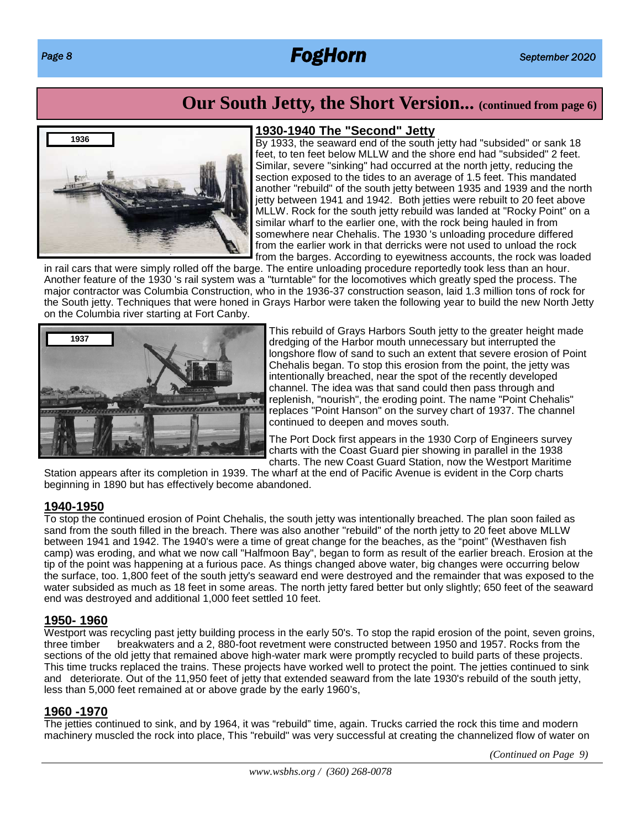# *Page 8 FogHorn September 2020*

# **Our South Jetty, the Short Version... (continued from page 6)**



### **1930-1940 The "Second" Jetty**

By 1933, the seaward end of the south jetty had "subsided" or sank 18 feet, to ten feet below MLLW and the shore end had "subsided" 2 feet. Similar, severe "sinking" had occurred at the north jetty, reducing the section exposed to the tides to an average of 1.5 feet. This mandated another "rebuild" of the south jetty between 1935 and 1939 and the north jetty between 1941 and 1942. Both jetties were rebuilt to 20 feet above MLLW. Rock for the south jetty rebuild was landed at "Rocky Point" on a similar wharf to the earlier one, with the rock being hauled in from somewhere near Chehalis. The 1930 's unloading procedure differed from the earlier work in that derricks were not used to unload the rock from the barges. According to eyewitness accounts, the rock was loaded

in rail cars that were simply rolled off the barge. The entire unloading procedure reportedly took less than an hour. Another feature of the 1930 's rail system was a "turntable" for the locomotives which greatly sped the process. The major contractor was Columbia Construction, who in the 1936-37 construction season, laid 1.3 million tons of rock for the South jetty. Techniques that were honed in Grays Harbor were taken the following year to build the new North Jetty on the Columbia river starting at Fort Canby.



This rebuild of Grays Harbors South jetty to the greater height made dredging of the Harbor mouth unnecessary but interrupted the longshore flow of sand to such an extent that severe erosion of Point Chehalis began. To stop this erosion from the point, the jetty was intentionally breached, near the spot of the recently developed channel. The idea was that sand could then pass through and replenish, "nourish", the eroding point. The name "Point Chehalis" replaces "Point Hanson" on the survey chart of 1937. The channel continued to deepen and moves south.

The Port Dock first appears in the 1930 Corp of Engineers survey charts with the Coast Guard pier showing in parallel in the 1938 charts. The new Coast Guard Station, now the Westport Maritime

Station appears after its completion in 1939. The wharf at the end of Pacific Avenue is evident in the Corp charts beginning in 1890 but has effectively become abandoned.

### **1940-1950**

To stop the continued erosion of Point Chehalis, the south jetty was intentionally breached. The plan soon failed as sand from the south filled in the breach. There was also another "rebuild" of the north jetty to 20 feet above MLLW between 1941 and 1942. The 1940's were a time of great change for the beaches, as the "point" (Westhaven fish camp) was eroding, and what we now call "Halfmoon Bay", began to form as result of the earlier breach. Erosion at the tip of the point was happening at a furious pace. As things changed above water, big changes were occurring below the surface, too. 1,800 feet of the south jetty's seaward end were destroyed and the remainder that was exposed to the water subsided as much as 18 feet in some areas. The north jetty fared better but only slightly; 650 feet of the seaward end was destroyed and additional 1,000 feet settled 10 feet.

### **1950- 1960**

Westport was recycling past jetty building process in the early 50's. To stop the rapid erosion of the point, seven groins, three timber breakwaters and a 2, 880-foot revetment were constructed between 1950 and 1957. Rocks from the sections of the old jetty that remained above high-water mark were promptly recycled to build parts of these projects. This time trucks replaced the trains. These projects have worked well to protect the point. The jetties continued to sink and deteriorate. Out of the 11,950 feet of jetty that extended seaward from the late 1930's rebuild of the south jetty, less than 5,000 feet remained at or above grade by the early 1960's,

### **1960 -1970**

The jetties continued to sink, and by 1964, it was "rebuild" time, again. Trucks carried the rock this time and modern machinery muscled the rock into place, This "rebuild" was very successful at creating the channelized flow of water on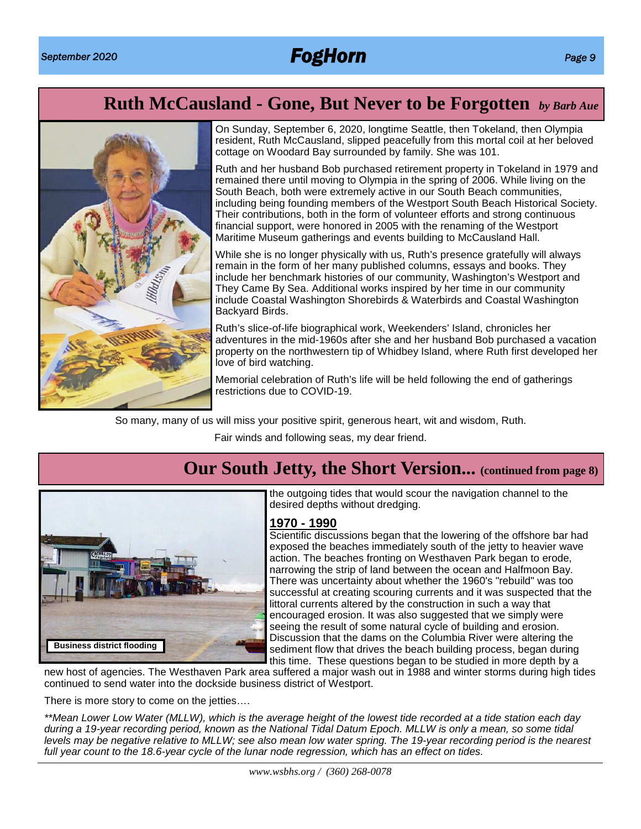# **Ruth McCausland - Gone, But Never to be Forgotten** *by Barb Aue*



On Sunday, September 6, 2020, longtime Seattle, then Tokeland, then Olympia resident, Ruth McCausland, slipped peacefully from this mortal coil at her beloved cottage on Woodard Bay surrounded by family. She was 101.

Ruth and her husband Bob purchased retirement property in Tokeland in 1979 and remained there until moving to Olympia in the spring of 2006. While living on the South Beach, both were extremely active in our South Beach communities, including being founding members of the Westport South Beach Historical Society. Their contributions, both in the form of volunteer efforts and strong continuous financial support, were honored in 2005 with the renaming of the Westport Maritime Museum gatherings and events building to McCausland Hall.

While she is no longer physically with us, Ruth's presence gratefully will always remain in the form of her many published columns, essays and books. They include her benchmark histories of our community, Washington's Westport and They Came By Sea. Additional works inspired by her time in our community include Coastal Washington Shorebirds & Waterbirds and Coastal Washington Backyard Birds.

Ruth's slice-of-life biographical work, Weekenders' Island, chronicles her adventures in the mid-1960s after she and her husband Bob purchased a vacation property on the northwestern tip of Whidbey Island, where Ruth first developed her love of bird watching.

Memorial celebration of Ruth's life will be held following the end of gatherings restrictions due to COVID-19.

So many, many of us will miss your positive spirit, generous heart, wit and wisdom, Ruth.

Fair winds and following seas, my dear friend.



# **Our South Jetty, the Short Version... (continued from page 8)**

the outgoing tides that would scour the navigation channel to the desired depths without dredging.

### **1970 - 1990**

Scientific discussions began that the lowering of the offshore bar had exposed the beaches immediately south of the jetty to heavier wave action. The beaches fronting on Westhaven Park began to erode, narrowing the strip of land between the ocean and Halfmoon Bay. There was uncertainty about whether the 1960's "rebuild" was too successful at creating scouring currents and it was suspected that the littoral currents altered by the construction in such a way that encouraged erosion. It was also suggested that we simply were seeing the result of some natural cycle of building and erosion. Discussion that the dams on the Columbia River were altering the sediment flow that drives the beach building process, began during this time. These questions began to be studied in more depth by a

new host of agencies. The Westhaven Park area suffered a major wash out in 1988 and winter storms during high tides continued to send water into the dockside business district of Westport.

There is more story to come on the jetties….

*\*\*Mean Lower Low Water (MLLW), which is the average height of the lowest tide recorded at a tide station each day during a 19-year recording period, known as the National Tidal Datum Epoch. MLLW is only a mean, so some tidal levels may be negative relative to MLLW; see also mean low water spring. The 19-year recording period is the nearest full year count to the 18.6-year cycle of the lunar node regression, which has an effect on tides.*